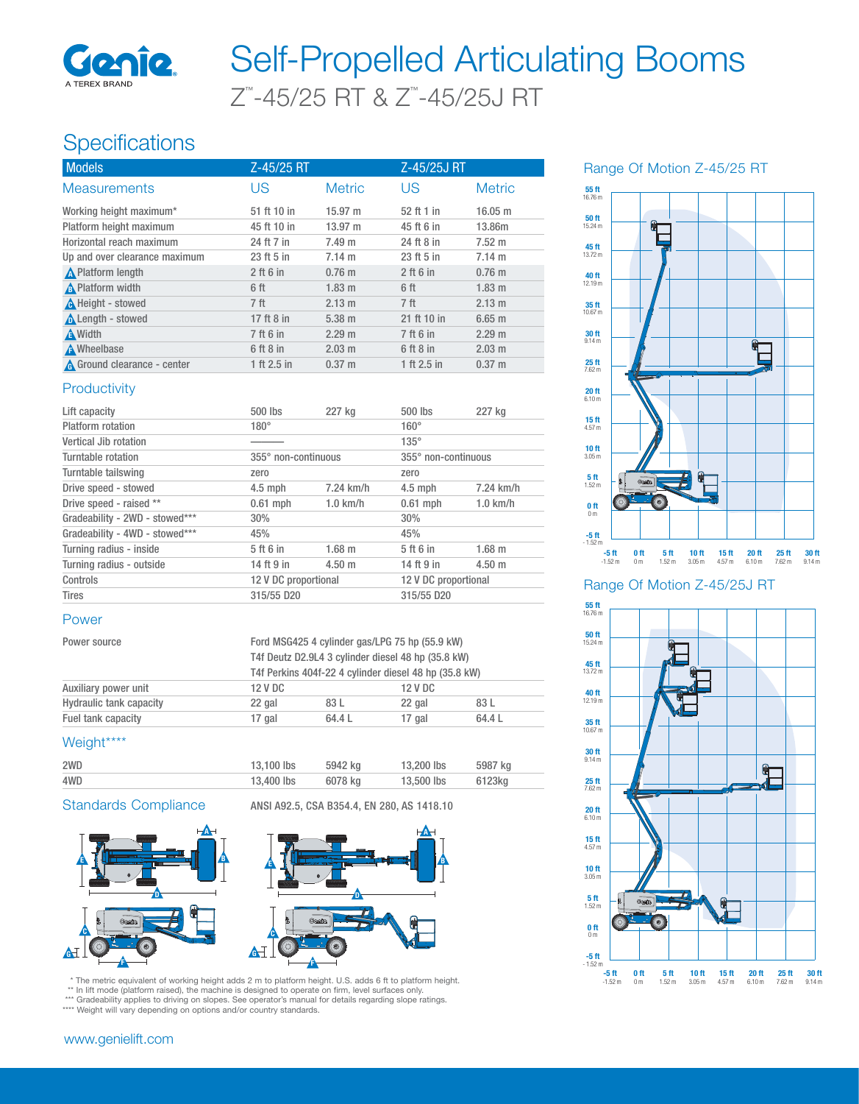

# Z™ -45/25 RT & Z™ -45/25J RT Self-Propelled Articulating Booms

## Specifications

| <b>Models</b>                 | Z-45/25 RT      |                   | Z-45/25J RT     |                  |
|-------------------------------|-----------------|-------------------|-----------------|------------------|
| <b>Measurements</b>           | US              | <b>Metric</b>     | US              | <b>Metric</b>    |
| Working height maximum*       | 51 ft 10 in     | $15.97 \text{ m}$ | 52 ft 1 in      | 16.05 m          |
| Platform height maximum       | 45 ft 10 in     | $13.97 \; m$      | 45 ft 6 in      | 13.86m           |
| Horizontal reach maximum      | 24 ft 7 in      | $7.49 \text{ m}$  | 24 ft 8 in      | $7.52 \text{ m}$ |
| Up and over clearance maximum | 23 ft 5 in      | 7.14 m            | 23 ft 5 in      | $7.14 \text{ m}$ |
| <b>A</b> Platform length      | $2$ ft 6 in     | $0.76$ m          | $2$ ft 6 in     | $0.76$ m         |
| A Platform width              | 6 ft            | $1.83 \text{ m}$  | 6 ft            | $1.83$ m         |
| A Height - stowed             | 7 <sup>ft</sup> | $2.13 \text{ m}$  | 7 <sup>ft</sup> | 2.13 m           |
| Length - stowed               | 17 ft 8 in      | $5.38 \; m$       | 21 ft 10 in     | $6.65$ m         |
| <b>A</b> Width                | 7 ft 6 in       | 2.29 m            | 7 ft 6 in       | 2.29 m           |
| <b>A</b> Wheelbase            | 6 ft 8 in       | $2.03 \text{ m}$  | 6 ft 8 in       | $2.03 \text{ m}$ |
| A Ground clearance - center   | 1 ft 2.5 in     | $0.37 \; m$       | 1 ft 2.5 in     | $0.37 \; m$      |

#### **Productivity**

| Lift capacity                  | 500 lbs              | 227 kg           | $500$ lbs            | 227 kg      |
|--------------------------------|----------------------|------------------|----------------------|-------------|
| Platform rotation              | $180^\circ$          |                  | $160^\circ$          |             |
| Vertical Jib rotation          |                      |                  | $135^\circ$          |             |
| Turntable rotation             | 355° non-continuous  |                  | 355° non-continuous  |             |
| Turntable tailswing            | zero                 |                  | zero                 |             |
| Drive speed - stowed           | $4.5$ mph            | 7.24 km/h        | $4.5$ mph            | 7.24 km/h   |
| Drive speed - raised **        | $0.61$ mph           | $1.0$ km/h       | $0.61$ mph           | $1.0$ km/h  |
| Gradeability - 2WD - stowed*** | 30%                  |                  | 30%                  |             |
| Gradeability - 4WD - stowed*** | 45%                  |                  | 45%                  |             |
| Turning radius - inside        | 5 ft 6 in            | $1.68$ m         | 5 ft 6 in            | $1.68$ m    |
| Turning radius - outside       | 14 ft 9 in           | $4.50 \text{ m}$ | 14 ft 9 in           | $4.50 \; m$ |
| Controls                       | 12 V DC proportional |                  | 12 V DC proportional |             |
| <b>Tires</b>                   | 315/55 D20           |                  | 315/55 D20           |             |

#### Power

| Power source                   |         | Ford MSG425 4 cylinder gas/LPG 75 hp (55.9 kW)<br>T4f Deutz D2.9L4 3 cylinder diesel 48 hp (35.8 kW) |         |        |  |
|--------------------------------|---------|------------------------------------------------------------------------------------------------------|---------|--------|--|
|                                |         |                                                                                                      |         |        |  |
|                                |         | T4f Perkins 404f-22 4 cylinder diesel 48 hp (35.8 kW)                                                |         |        |  |
| Auxiliary power unit           | 12 V DC |                                                                                                      | 12 V DC |        |  |
| <b>Hydraulic tank capacity</b> | 22 gal  | 83 L                                                                                                 | 22 gal  | 83 L   |  |
| Fuel tank capacity             | 17 gal  | 64.4 L                                                                                               | 17 gal  | 64.4 L |  |

### Weight\*\*\*\*

| 2WD | 13.100 lbs | 5942 ka | 13,200 lbs | 5987 kg |
|-----|------------|---------|------------|---------|
| 4WD | 13,400 lbs | 6078 ka | 13,500 lbs | 6123ka  |

Standards Compliance ANSI A92.5, CSA B354.4, EN 280, AS 1418.10





\* The metric equivalent of working height adds 2 m to platform height. U.S. adds 6 ft to platform height. \*\* In lift mode (platform raised), the machine is designed to operate on firm, level surfaces only.

\*\*\* Gradeability applies to driving on slopes. See operator's manual for details regarding slope ratings.

\*\*\*\* Weight will vary depending on options and/or country standards.

#### www.genielift.com





Range Of Motion Z-45/25J RT